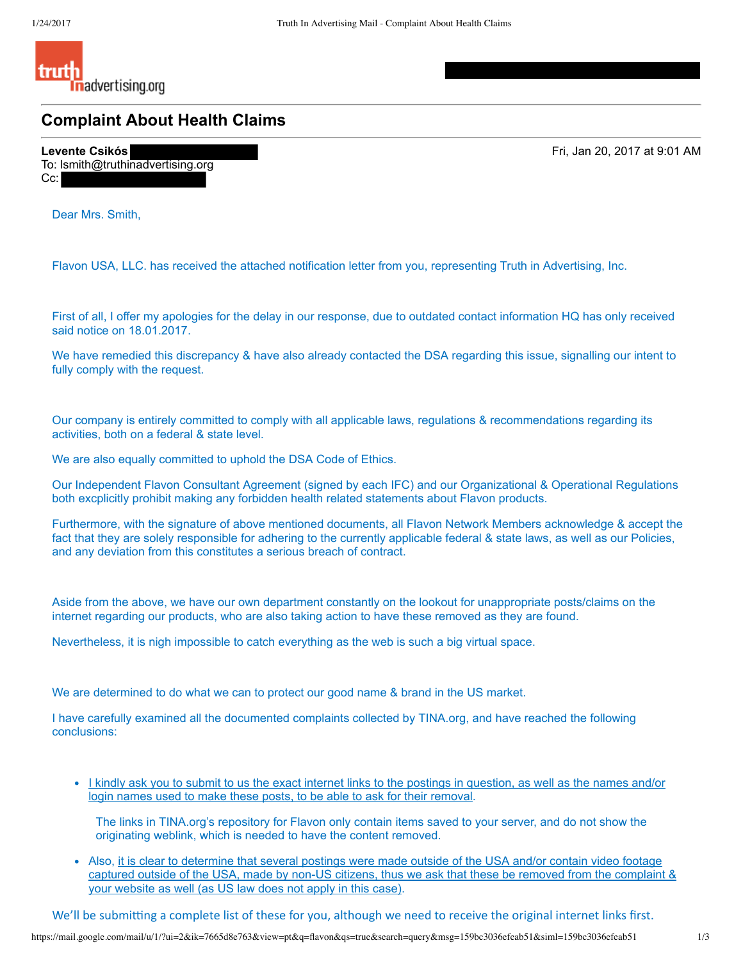

**Complaint About Health Claims**

**Levente Csikós**  Fri, Jan 20, 2017 at 9:01 AM To: lsmith@truthinadvertising.org Cc:

Dear Mrs. Smith,

Flavon USA, LLC. has received the attached notification letter from you, representing Truth in Advertising, Inc.

First of all, I offer my apologies for the delay in our response, due to outdated contact information HQ has only received said notice on 18.01.2017.

We have remedied this discrepancy & have also already contacted the DSA regarding this issue, signalling our intent to fully comply with the request.

Our company is entirely committed to comply with all applicable laws, regulations & recommendations regarding its activities, both on a federal & state level.

We are also equally committed to uphold the DSA Code of Ethics.

Our Independent Flavon Consultant Agreement (signed by each IFC) and our Organizational & Operational Regulations both excplicitly prohibit making any forbidden health related statements about Flavon products.

Furthermore, with the signature of above mentioned documents, all Flavon Network Members acknowledge & accept the fact that they are solely responsible for adhering to the currently applicable federal & state laws, as well as our Policies, and any deviation from this constitutes a serious breach of contract.

Aside from the above, we have our own department constantly on the lookout for unappropriate posts/claims on the internet regarding our products, who are also taking action to have these removed as they are found.

Nevertheless, it is nigh impossible to catch everything as the web is such a big virtual space.

We are determined to do what we can to protect our good name & brand in the US market.

I have carefully examined all the documented complaints collected by TINA.org, and have reached the following conclusions:

• I kindly ask you to submit to us the exact internet links to the postings in question, as well as the names and/or login names used to make these posts, to be able to ask for their removal.

The links in TINA.org's repository for Flavon only contain items saved to your server, and do not show the originating weblink, which is needed to have the content removed.

Also, it is clear to determine that several postings were made outside of the USA and/or contain video footage captured outside of the USA, made by non-US citizens, thus we ask that these be removed from the complaint & your website as well (as US law does not apply in this case).

We'll be submitting a complete list of these for you, although we need to receive the original internet links first.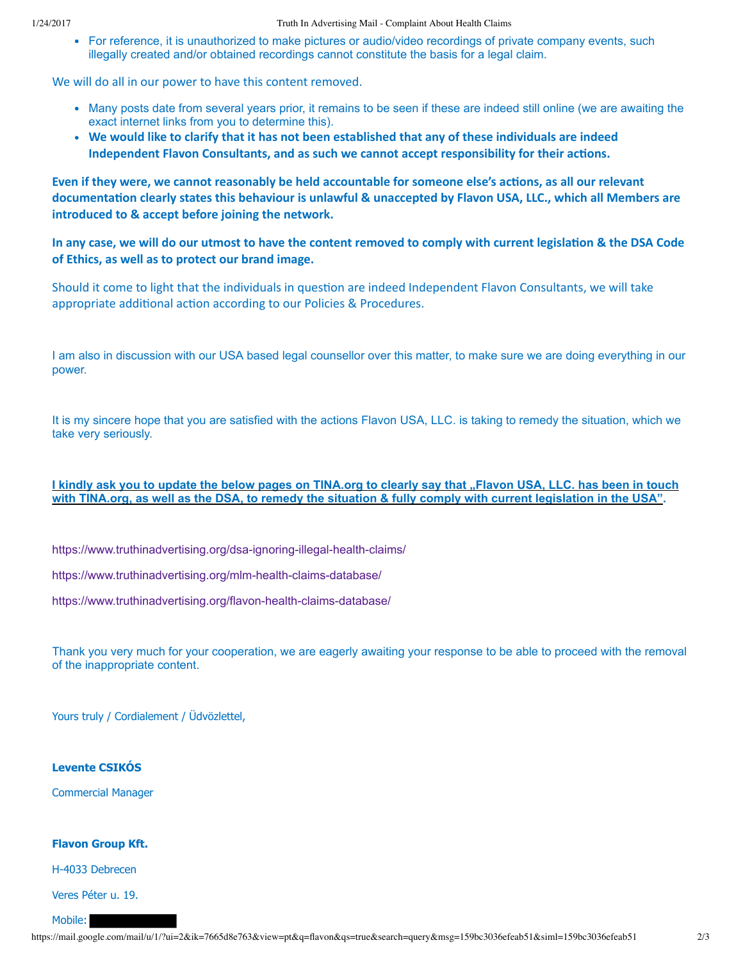For reference, it is unauthorized to make pictures or audio/video recordings of private company events, such illegally created and/or obtained recordings cannot constitute the basis for a legal claim.

We will do all in our power to have this content removed.

- Many posts date from several years prior, it remains to be seen if these are indeed still online (we are awaiting the exact internet links from you to determine this).
- **We would like to clarify that it has not been established that any of these individuals are indeed Independent Flavon Consultants, and as such we cannot accept responsibility for their actions.**

Even if they were, we cannot reasonably be held accountable for someone else's actions, as all our relevant documentation clearly states this behaviour is unlawful & unaccepted by Flavon USA, LLC., which all Members are **introduced to & accept before joining the network.**

In any case, we will do our utmost to have the content removed to comply with current legislation & the DSA Code **of Ethics, as well as to protect our brand image.**

Should it come to light that the individuals in question are indeed Independent Flavon Consultants, we will take appropriate additional action according to our Policies & Procedures.

I am also in discussion with our USA based legal counsellor over this matter, to make sure we are doing everything in our power.

It is my sincere hope that you are satisfied with the actions Flavon USA, LLC. is taking to remedy the situation, which we take very seriously.

## **I kindly ask you to update the below pages on TINA.org to clearly say that "Flavon USA, LLC. has been in touch with TINA.org, as well as the DSA, to remedy the situation & fully comply with current legislation in the USA".**

https://www.truthinadvertising.org/dsa-ignoring-illegal-health-claims/

https://www.truthinadvertising.org/mlm-health-claims-database/

https://www.truthinadvertising.org/flavon-health-claims-database/

Thank you very much for your cooperation, we are eagerly awaiting your response to be able to proceed with the removal of the inappropriate content.

Yours truly / Cordialement / Üdvözlettel,

## **Levente CSIKÓS**

Commercial Manager

## **Flavon Group Kft.**

H-4033 Debrecen

Veres Péter u. 19.

## Mobile: